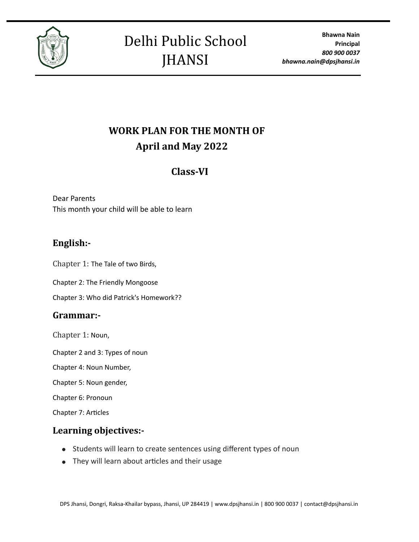

# **WORK PLAN FOR THE MONTH OF April and May 2022**

# Class-VI

Dear Parents This month your child will be able to learn

# **English:-**

Chapter 1: The Tale of two Birds,

Chapter 2: The Friendly Mongoose

Chapter 3: Who did Patrick's Homework??

#### **Grammar:-**

Chapter 1: Noun,

Chapter 2 and 3: Types of noun

Chapter 4: Noun Number,

Chapter 5: Noun gender,

Chapter 6: Pronoun

Chapter 7: Articles

# Learning objectives:-

- Students will learn to create sentences using different types of noun
- They will learn about articles and their usage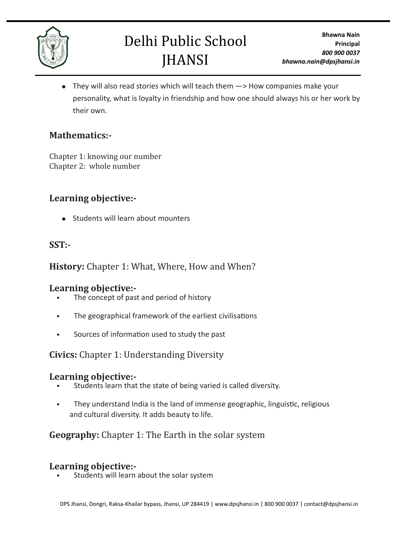

# Delhi Public School **JHANSI**

● They will also read stories which will teach them  $→$  How companies make your personality, what is loyalty in friendship and how one should always his or her work by their own.

### **Mathematics:-**

Chapter 1: knowing our number Chapter 2: whole number

# Learning objective:-

● Students will learn about mounters

### **SST:-**

# **History:** Chapter 1: What, Where, How and When?

#### Learning objective:-

- The concept of past and period of history
- The geographical framework of the earliest civilisations
- Sources of information used to study the past

# **Civics:** Chapter 1: Understanding Diversity

#### Learning objective:-

- Students learn that the state of being varied is called diversity.
- They understand India is the land of immense geographic, linguistic, religious and cultural diversity. It adds beauty to life.

# **Geography:** Chapter 1: The Earth in the solar system

#### Learning objective:-

Students will learn about the solar system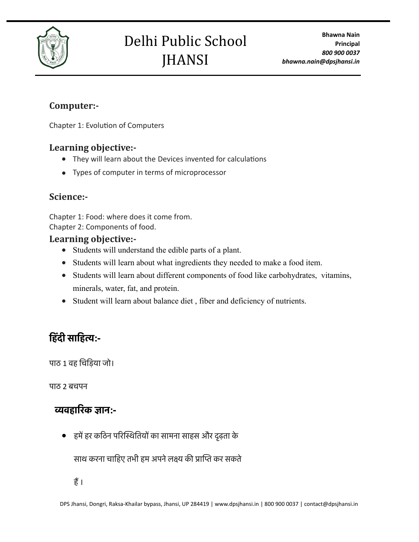

# Delhi Public School JHANSI

# **Computer:-**

Chapter 1: Evolution of Computers

# Learning objective:-

- They will learn about the Devices invented for calculations
- Types of computer in terms of microprocessor

# **Science:-**

Chapter 1: Food: where does it come from. Chapter 2: Components of food.

#### Learning objective:-

- Students will understand the edible parts of a plant.
- Students will learn about what ingredients they needed to make a food item.
- Students will learn about different components of food like carbohydrates, vitamins, minerals, water, fat, and protein.
- Student will learn about balance diet , fiber and deficiency of nutrients.

# **हिंदी साहित्य:-**

पाठ 1 वह चिड़िया जो।

पाठ 2 बचपन

# **व्यवहारिक ज्ञान:-**

● हमेंहर कठिन परिस्थितियों का सामना साहस और दृढ़ता के

साथ करना चाहिए तभी हम अपनेलक्ष्य की प्राप्ति कर सकते

हैं।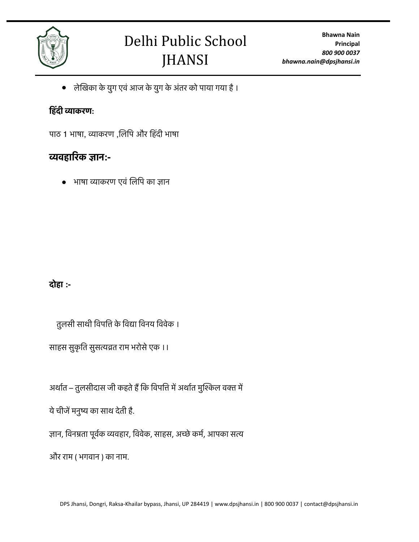

● लेखिका के युग एवंआज के युग के अंतर को पाया गया है।

# **हिंदी व्याकरण:**

पाठ 1 भाषा, व्याकरण ,लिपि और हिंदी भाषा

# **व्यवहारिक ज्ञान:-**

● भाषा व्याकरण एवं लिपि का ज्ञान

# **दोहा :-**

तुलसी साथी विपत्ति के विद्या विनय विवेक ।

साहस सुकृति सुसत्यव्रत राम भरोसे एक ।।

अर्थात – तुलसीदास जी कहते हैं कि विपत्ति में अर्थात मुश्किल वक्त में

येचीजेंमनुष्य का साथ देती है.

ज्ञान, विनम्रता पूर्वक व्यवहार, विवेक, साहस, अच्छेकर्म, आपका सत्य

और राम ( भगवान ) का नाम.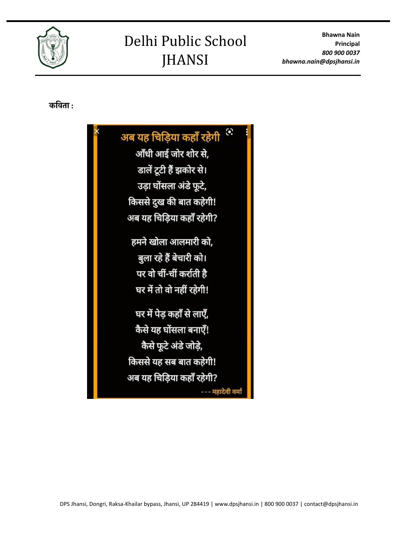**Bhawna Nain Principal** *800 900 0037 bhawna.nain@dpsjhansi.in*

# Delhi Public School JHANSI



### **कविता :**